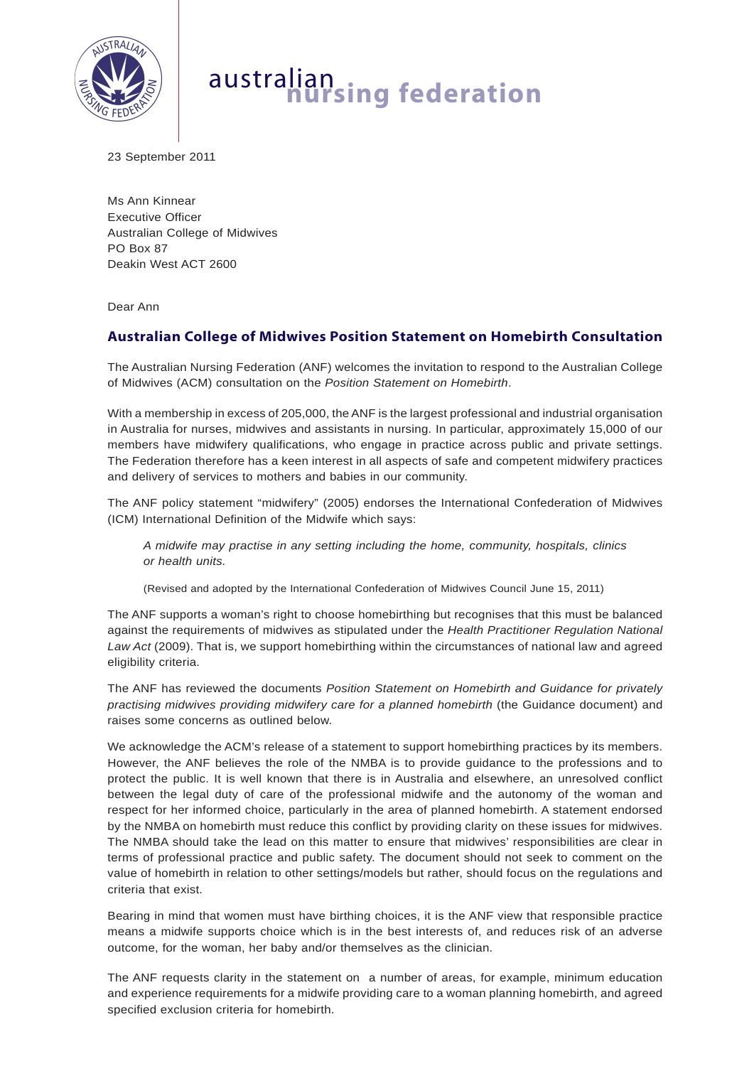

# australian **nursing federation**

23 September 2011

Ms Ann Kinnear Executive Officer Australian College of Midwives PO Box 87 Deakin West ACT 2600

Dear Ann

# **Australian College of Midwives Position Statement on Homebirth Consultation**

The Australian Nursing Federation (ANF) welcomes the invitation to respond to the Australian College of Midwives (ACM) consultation on the *Position Statement on Homebirth*.

With a membership in excess of 205,000, the ANF is the largest professional and industrial organisation in Australia for nurses, midwives and assistants in nursing. In particular, approximately 15,000 of our members have midwifery qualifications, who engage in practice across public and private settings. The Federation therefore has a keen interest in all aspects of safe and competent midwifery practices and delivery of services to mothers and babies in our community.

The ANF policy statement "midwifery" (2005) endorses the International Confederation of Midwives (ICM) International Definition of the Midwife which says:

*A midwife may practise in any setting including the home, community, hospitals, clinics or health units.*

(Revised and adopted by the International Confederation of Midwives Council June 15, 2011)

The ANF supports a woman's right to choose homebirthing but recognises that this must be balanced against the requirements of midwives as stipulated under the *Health Practitioner Regulation National Law Act* (2009). That is, we support homebirthing within the circumstances of national law and agreed eligibility criteria.

The ANF has reviewed the documents *Position Statement on Homebirth and Guidance for privately practising midwives providing midwifery care for a planned homebirth* (the Guidance document) and raises some concerns as outlined below.

We acknowledge the ACM's release of a statement to support homebirthing practices by its members. However, the ANF believes the role of the NMBA is to provide guidance to the professions and to protect the public. It is well known that there is in Australia and elsewhere, an unresolved conflict between the legal duty of care of the professional midwife and the autonomy of the woman and respect for her informed choice, particularly in the area of planned homebirth. A statement endorsed by the NMBA on homebirth must reduce this conflict by providing clarity on these issues for midwives. The NMBA should take the lead on this matter to ensure that midwives' responsibilities are clear in terms of professional practice and public safety. The document should not seek to comment on the value of homebirth in relation to other settings/models but rather, should focus on the regulations and criteria that exist.

Bearing in mind that women must have birthing choices, it is the ANF view that responsible practice means a midwife supports choice which is in the best interests of, and reduces risk of an adverse outcome, for the woman, her baby and/or themselves as the clinician.

The ANF requests clarity in the statement on a number of areas, for example, minimum education and experience requirements for a midwife providing care to a woman planning homebirth, and agreed specified exclusion criteria for homebirth.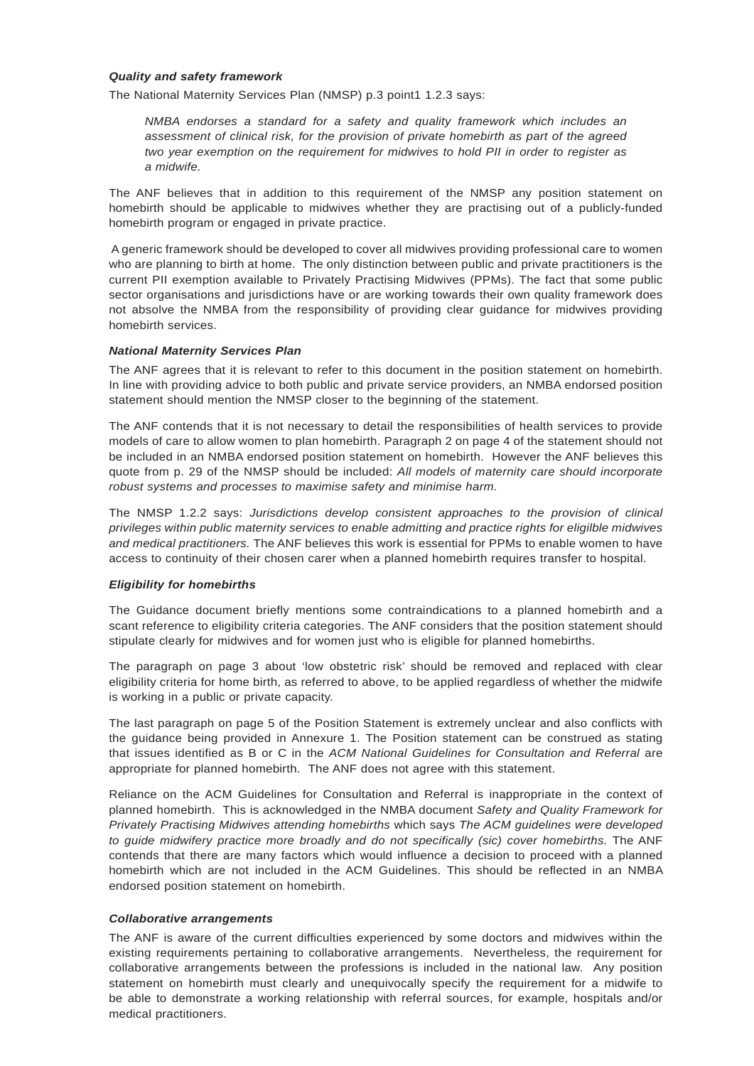#### *Quality and safety framework*

The National Maternity Services Plan (NMSP) p.3 point1 1.2.3 says:

*NMBA endorses a standard for a safety and quality framework which includes an assessment of clinical risk, for the provision of private homebirth as part of the agreed two year exemption on the requirement for midwives to hold PII in order to register as a midwife.*

The ANF believes that in addition to this requirement of the NMSP any position statement on homebirth should be applicable to midwives whether they are practising out of a publicly-funded homebirth program or engaged in private practice.

 A generic framework should be developed to cover all midwives providing professional care to women who are planning to birth at home. The only distinction between public and private practitioners is the current PII exemption available to Privately Practising Midwives (PPMs). The fact that some public sector organisations and jurisdictions have or are working towards their own quality framework does not absolve the NMBA from the responsibility of providing clear guidance for midwives providing homebirth services.

# *National Maternity Services Plan*

The ANF agrees that it is relevant to refer to this document in the position statement on homebirth. In line with providing advice to both public and private service providers, an NMBA endorsed position statement should mention the NMSP closer to the beginning of the statement.

The ANF contends that it is not necessary to detail the responsibilities of health services to provide models of care to allow women to plan homebirth. Paragraph 2 on page 4 of the statement should not be included in an NMBA endorsed position statement on homebirth. However the ANF believes this quote from p. 29 of the NMSP should be included: *All models of maternity care should incorporate robust systems and processes to maximise safety and minimise harm.* 

The NMSP 1.2.2 says: *Jurisdictions develop consistent approaches to the provision of clinical privileges within public maternity services to enable admitting and practice rights for eligilble midwives and medical practitioners.* The ANF believes this work is essential for PPMs to enable women to have access to continuity of their chosen carer when a planned homebirth requires transfer to hospital.

#### *Eligibility for homebirths*

The Guidance document briefly mentions some contraindications to a planned homebirth and a scant reference to eligibility criteria categories. The ANF considers that the position statement should stipulate clearly for midwives and for women just who is eligible for planned homebirths.

The paragraph on page 3 about 'low obstetric risk' should be removed and replaced with clear eligibility criteria for home birth, as referred to above, to be applied regardless of whether the midwife is working in a public or private capacity.

The last paragraph on page 5 of the Position Statement is extremely unclear and also conflicts with the guidance being provided in Annexure 1. The Position statement can be construed as stating that issues identified as B or C in the *ACM National Guidelines for Consultation and Referral* are appropriate for planned homebirth. The ANF does not agree with this statement.

Reliance on the ACM Guidelines for Consultation and Referral is inappropriate in the context of planned homebirth. This is acknowledged in the NMBA document *Safety and Quality Framework for Privately Practising Midwives attending homebirths* which says *The ACM guidelines were developed to guide midwifery practice more broadly and do not specifically (sic) cover homebirths.* The ANF contends that there are many factors which would influence a decision to proceed with a planned homebirth which are not included in the ACM Guidelines. This should be reflected in an NMBA endorsed position statement on homebirth.

# *Collaborative arrangements*

The ANF is aware of the current difficulties experienced by some doctors and midwives within the existing requirements pertaining to collaborative arrangements. Nevertheless, the requirement for collaborative arrangements between the professions is included in the national law. Any position statement on homebirth must clearly and unequivocally specify the requirement for a midwife to be able to demonstrate a working relationship with referral sources, for example, hospitals and/or medical practitioners.